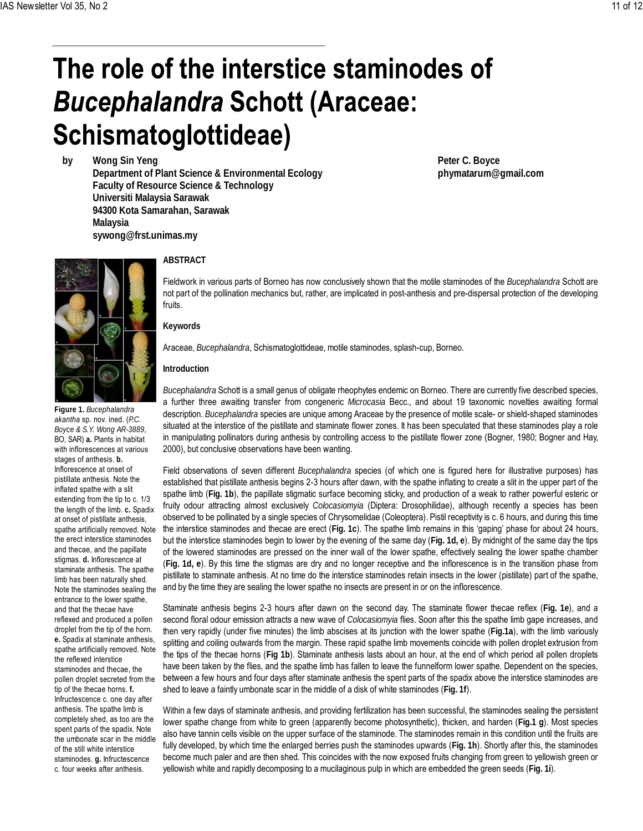## The role of the interstice staminodes of **Bucephalandra Schott (Araceae:** Schismatoglottideae)

**by Wong Sin Yeng Department of Plant Science & Environmental Ecology Faculty of Resource Science & Technology Universiti Malaysia Sarawak 94300 Kota Samarahan, Sarawak Malaysia sywong@frst.unimas.my**

**Figure 1.** *Bucephalandra akantha* sp. nov. ined. (*P.C. Boyce & S.Y. Wong AR-3889*, BO, SAR) **a.** Plants in habitat with inflorescences at various stages of anthesis. **b.** Inflorescence at onset of pistillate anthesis. Note the inflated spathe with a slit extending from the tip to c. 1/3 the length of the limb. **c.** Spadix at onset of pistillate anthesis, spathe artificially removed. Note the erect interstice staminodes and thecae, and the papillate stigmas. **d.** Inflorescence at staminate anthesis. The spathe limb has been naturally shed. Note the staminodes sealing the entrance to the lower spathe, and that the thecae have reflexed and produced a pollen droplet from the tip of the horn. **e.** Spadix at staminate anthesis, spathe artificially removed. Note the reflexed interstice staminodes and thecae, the pollen droplet secreted from the tip of the thecae horns. **f.** Infructescence c. one day after anthesis. The spathe limb is completely shed, as too are the spent parts of the spadix. Note the umbonate scar in the middle of the still white interstice staminodes. **g.** Infructescence c. four weeks after anthesis.

## **ABSTRACT**

Fieldwork in various parts of Borneo has now conclusively shown that the motile staminodes of the *Bucephalandra* Schott are not part of the pollination mechanics but, rather, are implicated in post-anthesis and pre-dispersal protection of the developing fruits.

**Peter C. Boyce**

**phymatarum@gmail.com**

**Keywords**

Araceae, *Bucephalandra*, Schismatoglottideae, motile staminodes, splash-cup, Borneo.

## **Introduction**

*Bucephalandra* Schott is a small genus of obligate rheophytes endemic on Borneo. There are currently five described species, a further three awaiting transfer from congeneric *Microcasia* Becc., and about 19 taxonomic novelties awaiting formal description. *Bucephalandra* species are unique among Araceae by the presence of motile scale- or shield-shaped staminodes situated at the interstice of the pistillate and staminate flower zones. It has been speculated that these staminodes play a role in manipulating pollinators during anthesis by controlling access to the pistillate flower zone (Bogner, 1980; Bogner and Hay, 2000), but conclusive observations have been wanting.

Field observations of seven different *Bucephalandra* species (of which one is figured here for illustrative purposes) has established that pistillate anthesis begins 2-3 hours after dawn, with the spathe inflating to create a slit in the upper part of the spathe limb (**Fig. 1b**), the papillate stigmatic surface becoming sticky, and production of a weak to rather powerful esteric or fruity odour attracting almost exclusively *Colocasiomyia* (Diptera: Drosophilidae), although recently a species has been observed to be pollinated by a single species of Chrysomelidae (Coleoptera). Pistil receptivity is c. 6 hours, and during this time the interstice staminodes and thecae are erect (**Fig. 1c**). The spathe limb remains in this 'gaping' phase for about 24 hours, but the interstice staminodes begin to lower by the evening of the same day (**Fig. 1d, e**). By midnight of the same day the tips of the lowered staminodes are pressed on the inner wall of the lower spathe, effectively sealing the lower spathe chamber (**Fig. 1d, e**). By this time the stigmas are dry and no longer receptive and the inflorescence is in the transition phase from pistillate to staminate anthesis. At no time do the interstice staminodes retain insects in the lower (pistillate) part of the spathe, and by the time they are sealing the lower spathe no insects are present in or on the inflorescence.

Staminate anthesis begins 2-3 hours after dawn on the second day. The staminate flower thecae reflex (**Fig. 1e**), and a second floral odour emission attracts a new wave of *Colocasiomyia* flies. Soon after this the spathe limb gape increases, and then very rapidly (under five minutes) the limb abscises at its junction with the lower spathe (**Fig.1a**), with the limb variously splitting and coiling outwards from the margin. These rapid spathe limb movements coincide with pollen droplet extrusion from the tips of the thecae horns (**Fig 1b**). Staminate anthesis lasts about an hour, at the end of which period all pollen droplets have been taken by the flies, and the spathe limb has fallen to leave the funnelform lower spathe. Dependent on the species, between a few hours and four days after staminate anthesis the spent parts of the spadix above the interstice staminodes are shed to leave a faintly umbonate scar in the middle of a disk of white staminodes (**Fig. 1f**).

Within a few days of staminate anthesis, and providing fertilization has been successful, the staminodes sealing the persistent lower spathe change from white to green (apparently become photosynthetic), thicken, and harden (**Fig.1 g**). Most species also have tannin cells visible on the upper surface of the staminode. The staminodes remain in this condition until the fruits are fully developed, by which time the enlarged berries push the staminodes upwards (**Fig. 1h**). Shortly after this, the staminodes become much paler and are then shed. This coincides with the now exposed fruits changing from green to yellowish green or yellowish white and rapidly decomposing to a mucilaginous pulp in which are embedded the green seeds (**Fig. 1i**).